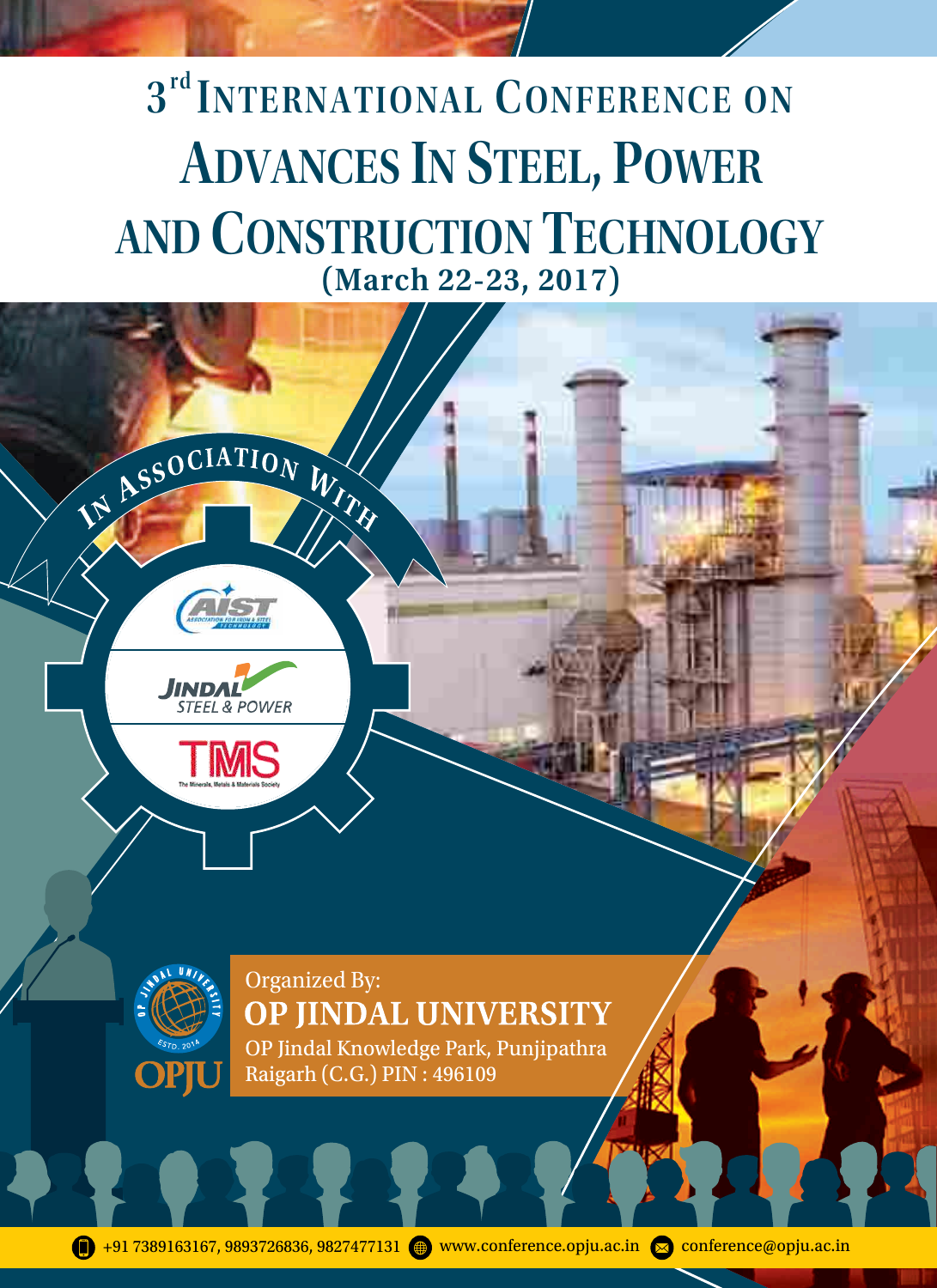# (March 22-23, 2017) 3<sup>rd</sup> INTERNATIONAL CONFERENCE ON AND CONSTRUCTION TECHNOLOGY ADVANCES IN STEEL, POWER



OP Jindal Knowledge Park, Punjipathra Raigarh (C.G.) PIN : 496109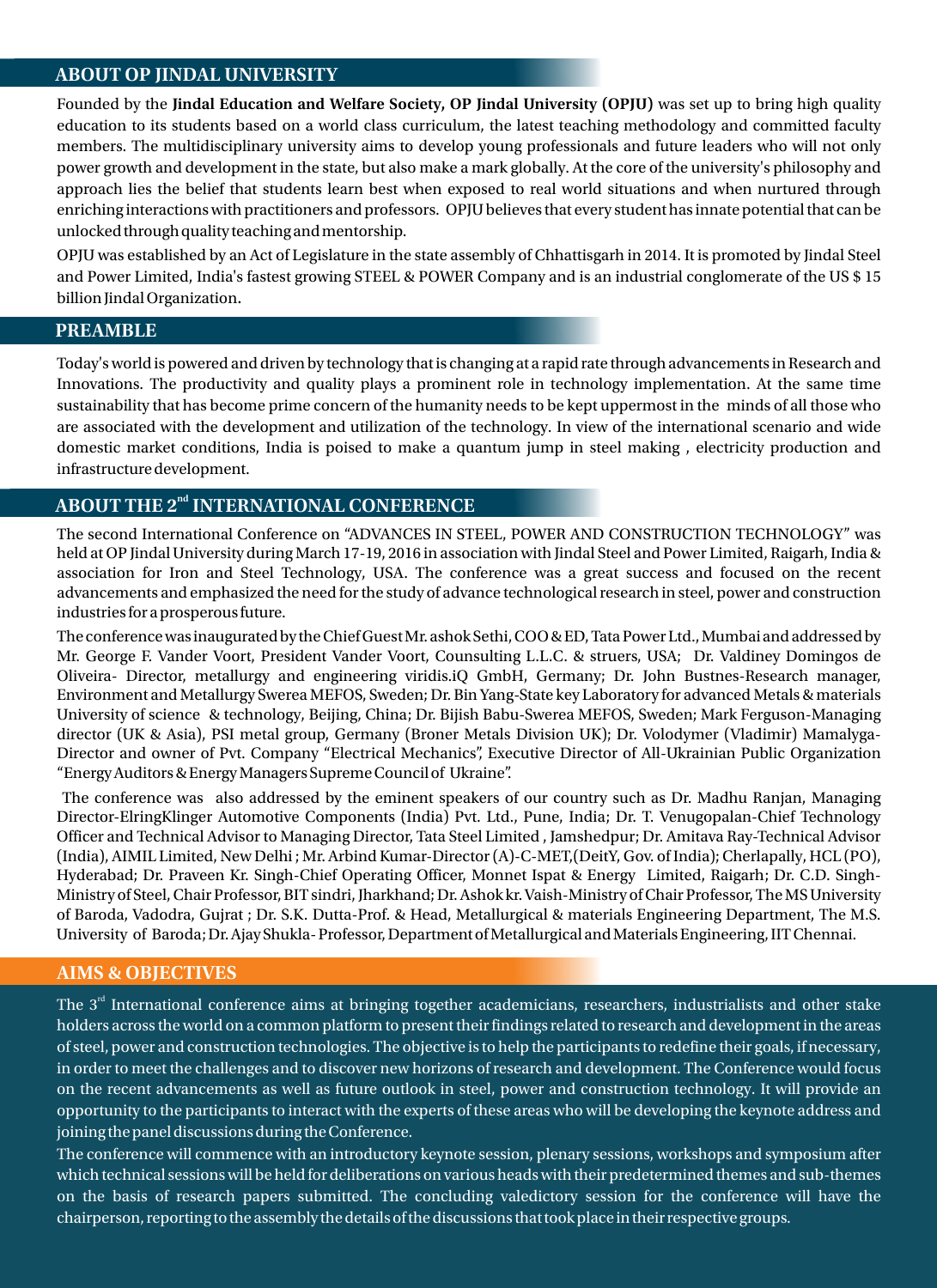### ABOUT OP JINDAL UNIVERSITY

Founded by the **Jindal Education and Welfare Society, OP Jindal University (OPJU)** was set up to bring high quality education to its students based on a world class curriculum, the latest teaching methodology and committed faculty members. The multidisciplinary university aims to develop young professionals and future leaders who will not only power growth and development in the state, but also make a mark globally. At the core of the university's philosophy and approach lies the belief that students learn best when exposed to real world situations and when nurtured through enriching interactions with practitioners and professors. OPJU believes that every student has innate potential that can be unlocked through quality teaching and mentorship.

OPJU was established by an Act of Legislature in the state assembly of Chhattisgarh in 2014. It is promoted by Jindal Steel and Power Limited, India's fastest growing STEEL & POWER Company and is an industrial conglomerate of the US \$ 15 billion Jindal Organization.

### PREAMBLE

Today's world is powered and driven by technology that is changing at a rapid rate through advancements in Research and Innovations. The productivity and quality plays a prominent role in technology implementation. At the same time sustainability that has become prime concern of the humanity needs to be kept uppermost in the minds of all those who are associated with the development and utilization of the technology. In view of the international scenario and wide domestic market conditions, India is poised to make a quantum jump in steel making , electricity production and infrastructure development.

# ABOUT THE 2<sup>nd</sup> INTERNATIONAL CONFERENCE

The second International Conference on "ADVANCES IN STEEL, POWER AND CONSTRUCTION TECHNOLOGY" was held at OP Jindal University during March 17-19, 2016 in association with Jindal Steel and Power Limited, Raigarh, India & association for Iron and Steel Technology, USA. The conference was a great success and focused on the recent advancements and emphasized the need for the study of advance technological research in steel, power and construction industries for a prosperous future.

The conference was inaugurated by the Chief Guest Mr. ashok Sethi, COO & ED, Tata Power Ltd., Mumbai and addressed by Mr. George F. Vander Voort, President Vander Voort, Counsulting L.L.C. & struers, USA; Dr. Valdiney Domingos de Oliveira- Director, metallurgy and engineering viridis.iQ GmbH, Germany; Dr. John Bustnes-Research manager, Environment and Metallurgy Swerea MEFOS, Sweden; Dr. Bin Yang-State key Laboratory for advanced Metals & materials University of science & technology, Beijing, China; Dr. Bijish Babu-Swerea MEFOS, Sweden; Mark Ferguson-Managing director (UK & Asia), PSI metal group, Germany (Broner Metals Division UK); Dr. Volodymer (Vladimir) Mamalyga-Director and owner of Pvt. Company "Electrical Mechanics", Executive Director of All-Ukrainian Public Organization "Energy Auditors & Energy Managers Supreme Council of Ukraine".

The conference was also addressed by the eminent speakers of our country such as Dr. Madhu Ranjan, Managing Director-ElringKlinger Automotive Components (India) Pvt. Ltd., Pune, India; Dr. T. Venugopalan-Chief Technology Officer and Technical Advisor to Managing Director, Tata Steel Limited , Jamshedpur; Dr. Amitava Ray-Technical Advisor (India), AIMIL Limited, New Delhi ; Mr. Arbind Kumar-Director (A)-C-MET,(DeitY, Gov. of India); Cherlapally, HCL (PO), Hyderabad; Dr. Praveen Kr. Singh-Chief Operating Officer, Monnet Ispat & Energy Limited, Raigarh; Dr. C.D. Singh-Ministry of Steel, Chair Professor, BIT sindri, Jharkhand; Dr. Ashok kr. Vaish-Ministry of Chair Professor, The MS University of Baroda, Vadodra, Gujrat ; Dr. S.K. Dutta-Prof. & Head, Metallurgical & materials Engineering Department, The M.S. University of Baroda; Dr. Ajay Shukla- Professor, Department of Metallurgical and Materials Engineering, IIT Chennai.

## AIMS & OBJECTIVES

The 3 $^{\rm rd}$  International conference aims at bringing together academicians, researchers, industrialists and other stake holders across the world on a common platform to present their findings related to research and development in the areas of steel, power and construction technologies. The objective is to help the participants to redefine their goals, if necessary, in order to meet the challenges and to discover new horizons of research and development. The Conference would focus on the recent advancements as well as future outlook in steel, power and construction technology. It will provide an opportunity to the participants to interact with the experts of these areas who will be developing the keynote address and joining the panel discussions during the Conference.

The conference will commence with an introductory keynote session, plenary sessions, workshops and symposium after which technical sessions will be held for deliberations on various heads with their predetermined themes and sub-themes on the basis of research papers submitted. The concluding valedictory session for the conference will have the chairperson, reporting to the assembly the details of the discussions that took place in their respective groups.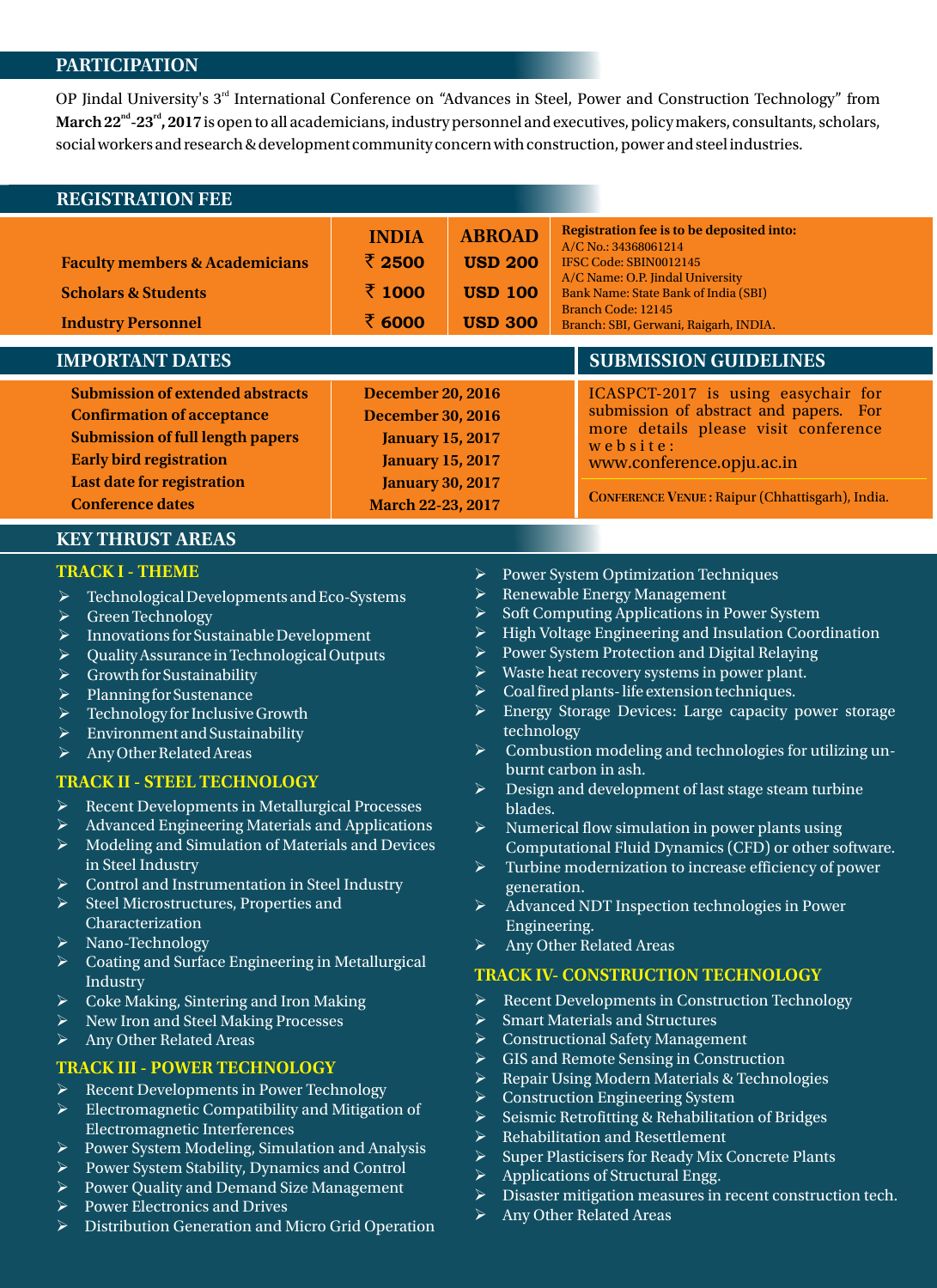#### PARTICIPATION

OP Jindal University's 3<sup>rd</sup> International Conference on "Advances in Steel, Power and Construction Technology" from **March 22<sup>nd</sup>** - 23<sup>rd</sup>, 2017 is open to all academicians, industry personnel and executives, policy makers, consultants, scholars, social workers and research & development community concern with construction, power and steel industries.

| <b>REGISTRATION FEE</b>                   |                          |                |  |                                                                                                                                         |  |
|-------------------------------------------|--------------------------|----------------|--|-----------------------------------------------------------------------------------------------------------------------------------------|--|
|                                           | <b>INDIA</b>             | <b>ABROAD</b>  |  | Registration fee is to be deposited into:<br>A/C No.: 34368061214                                                                       |  |
| <b>Faculty members &amp; Academicians</b> | ₹ 2500                   | <b>USD 200</b> |  | IFSC Code: SBIN0012145                                                                                                                  |  |
| <b>Scholars &amp; Students</b>            | रें 1000                 | <b>USD 100</b> |  | A/C Name: O.P. Jindal University<br>Bank Name: State Bank of India (SBI)<br>Branch Code: 12145<br>Branch: SBI, Gerwani, Raigarh, INDIA. |  |
| <b>Industry Personnel</b>                 | ₹ 6000                   | <b>USD 300</b> |  |                                                                                                                                         |  |
| <b>IMPORTANT DATES</b>                    |                          |                |  |                                                                                                                                         |  |
|                                           |                          |                |  | <b>SUBMISSION GUIDELINES</b>                                                                                                            |  |
| <b>Submission of extended abstracts</b>   | <b>December 20, 2016</b> |                |  | ICASPCT-2017 is using easychair for                                                                                                     |  |
| <b>Confirmation of acceptance</b>         | <b>December 30, 2016</b> |                |  | submission of abstract and papers. For                                                                                                  |  |
| <b>Submission of full length papers</b>   | <b>January 15, 2017</b>  |                |  | more details please visit conference                                                                                                    |  |
| <b>Early bird registration</b>            | <b>January 15, 2017</b>  |                |  | we b site:<br>www.conference.opju.ac.in                                                                                                 |  |
| Last date for registration                | <b>January 30, 2017</b>  |                |  | CONFERENCE VENUE : Raipur (Chhattisgarh), India.                                                                                        |  |

# KEY THRUST AREAS

#### **TRACK I - THEME**

- $\triangleright$  Technological Developments and Eco-Systems
- $\triangleright$  Green Technology
- $\triangleright$  Innovations for Sustainable Development
- $\triangleright$  Quality Assurance in Technological Outputs
- $\triangleright$  Growth for Sustainability
- $\triangleright$  Planning for Sustenance
- $\triangleright$  Technology for Inclusive Growth
- Ø Environment and Sustainability
- $\triangleright$  Any Other Related Areas

#### **TRACK II - STEEL TECHNOLOGY**

- Ø Recent Developments in Metallurgical Processes
- Ø Advanced Engineering Materials and Applications
- Ø Modeling and Simulation of Materials and Devices in Steel Industry
- Ø Control and Instrumentation in Steel Industry
- Steel Microstructures, Properties and Characterization
- Ø Nano-Technology
- $\triangleright$  Coating and Surface Engineering in Metallurgical Industry
- Ø Coke Making, Sintering and Iron Making
- Ø New Iron and Steel Making Processes
- $\triangleright$  Any Other Related Areas

# **TRACK III - POWER TECHNOLOGY**

- Ø Recent Developments in Power Technology
- $\triangleright$  Electromagnetic Compatibility and Mitigation of Electromagnetic Interferences
- Ø Power System Modeling, Simulation and Analysis
- Ø Power System Stability, Dynamics and Control
- Ø Power Quality and Demand Size Management
- Ø Power Electronics and Drives
- Distribution Generation and Micro Grid Operation
- Ø Power System Optimization Techniques
- $\triangleright$  Renewable Energy Management
- Ø Soft Computing Applications in Power System
- $\triangleright$  High Voltage Engineering and Insulation Coordination
- Ø Power System Protection and Digital Relaying
- $\triangleright$  Waste heat recovery systems in power plant.
- Ø Coal fired plants- life extension techniques.
- $\triangleright$  Energy Storage Devices: Large capacity power storage technology
- Ø Combustion modeling and technologies for utilizing unburnt carbon in ash.
- $\triangleright$  Design and development of last stage steam turbine blades.
- Numerical flow simulation in power plants using Computational Fluid Dynamics (CFD) or other software.
- Turbine modernization to increase efficiency of power generation.
- Ø Advanced NDT Inspection technologies in Power Engineering.
- $\triangleright$  Any Other Related Areas

# **TRACK IV- CONSTRUCTION TECHNOLOGY**

- Ø Recent Developments in Construction Technology
- $\triangleright$  Smart Materials and Structures
- $\triangleright$  Constructional Safety Management
- GIS and Remote Sensing in Construction
- Ø Repair Using Modern Materials & Technologies
- $\triangleright$  Construction Engineering System
- $\triangleright$  Seismic Retrofitting & Rehabilitation of Bridges
- Rehabilitation and Resettlement
- $\triangleright$  Super Plasticisers for Ready Mix Concrete Plants
- $\triangleright$  Applications of Structural Engg.
- $\triangleright$  Disaster mitigation measures in recent construction tech.
- Ø Any Other Related Areas